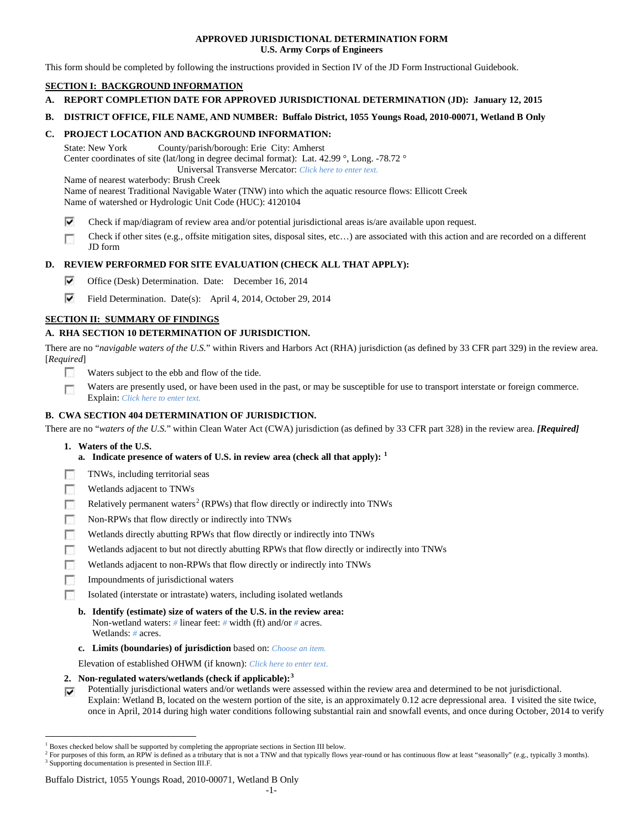## **APPROVED JURISDICTIONAL DETERMINATION FORM U.S. Army Corps of Engineers**

This form should be completed by following the instructions provided in Section IV of the JD Form Instructional Guidebook.

# **SECTION I: BACKGROUND INFORMATION**

- **A. REPORT COMPLETION DATE FOR APPROVED JURISDICTIONAL DETERMINATION (JD): January 12, 2015**
- **B. DISTRICT OFFICE, FILE NAME, AND NUMBER: Buffalo District, 1055 Youngs Road, 2010-00071, Wetland B Only**

# **C. PROJECT LOCATION AND BACKGROUND INFORMATION:**

State: New York County/parish/borough: Erie City: Amherst Center coordinates of site (lat/long in degree decimal format): Lat. 42.99 °, Long. -78.72 ° Universal Transverse Mercator: *Click here to enter text.*

Name of nearest waterbody: Brush Creek

Name of nearest Traditional Navigable Water (TNW) into which the aquatic resource flows: Ellicott Creek Name of watershed or Hydrologic Unit Code (HUC): 4120104

- ⊽ Check if map/diagram of review area and/or potential jurisdictional areas is/are available upon request.
- Check if other sites (e.g., offsite mitigation sites, disposal sites, etc…) are associated with this action and are recorded on a different г JD form

# **D. REVIEW PERFORMED FOR SITE EVALUATION (CHECK ALL THAT APPLY):**

- ⊽ Office (Desk) Determination. Date: December 16, 2014
- ⊽ Field Determination. Date(s): April 4, 2014, October 29, 2014

# **SECTION II: SUMMARY OF FINDINGS**

## **A. RHA SECTION 10 DETERMINATION OF JURISDICTION.**

There are no "*navigable waters of the U.S.*" within Rivers and Harbors Act (RHA) jurisdiction (as defined by 33 CFR part 329) in the review area. [*Required*]

- n Waters subject to the ebb and flow of the tide.
- Waters are presently used, or have been used in the past, or may be susceptible for use to transport interstate or foreign commerce. п Explain: *Click here to enter text.*

# **B. CWA SECTION 404 DETERMINATION OF JURISDICTION.**

There are no "*waters of the U.S.*" within Clean Water Act (CWA) jurisdiction (as defined by 33 CFR part 328) in the review area. *[Required]*

## **1. Waters of the U.S.**

- **a. Indicate presence of waters of U.S. in review area (check all that apply): [1](#page-0-0)**
- F TNWs, including territorial seas
- п Wetlands adjacent to TNWs
- Relatively permanent waters<sup>[2](#page-0-1)</sup> (RPWs) that flow directly or indirectly into TNWs г
- г Non-RPWs that flow directly or indirectly into TNWs
- п Wetlands directly abutting RPWs that flow directly or indirectly into TNWs
- Wetlands adjacent to but not directly abutting RPWs that flow directly or indirectly into TNWs Е
- Wetlands adjacent to non-RPWs that flow directly or indirectly into TNWs г
- п Impoundments of jurisdictional waters
- п Isolated (interstate or intrastate) waters, including isolated wetlands
	- **b. Identify (estimate) size of waters of the U.S. in the review area:** Non-wetland waters: *#* linear feet: *#* width (ft) and/or *#* acres. Wetlands: *#* acres.
	- **c. Limits (boundaries) of jurisdiction** based on: *Choose an item.*

Elevation of established OHWM (if known): *Click here to enter text.*

- **2. Non-regulated waters/wetlands (check if applicable): [3](#page-0-2)**
- Potentially jurisdictional waters and/or wetlands were assessed within the review area and determined to be not jurisdictional. ⊽ Explain: Wetland B, located on the western portion of the site, is an approximately 0.12 acre depressional area. I visited the site twice, once in April, 2014 during high water conditions following substantial rain and snowfall events, and once during October, 2014 to verify

#### Buffalo District, 1055 Youngs Road, 2010-00071, Wetland B Only

<span id="page-0-0"></span><sup>&</sup>lt;sup>1</sup> Boxes checked below shall be supported by completing the appropriate sections in Section III below.

<span id="page-0-2"></span><span id="page-0-1"></span> $^2$  For purposes of this form, an RPW is defined as a tributary that is not a TNW and that typically flows year-round or has continuous flow at least "seasonally" (e.g., typically 3 months). 3 Supporting documentation is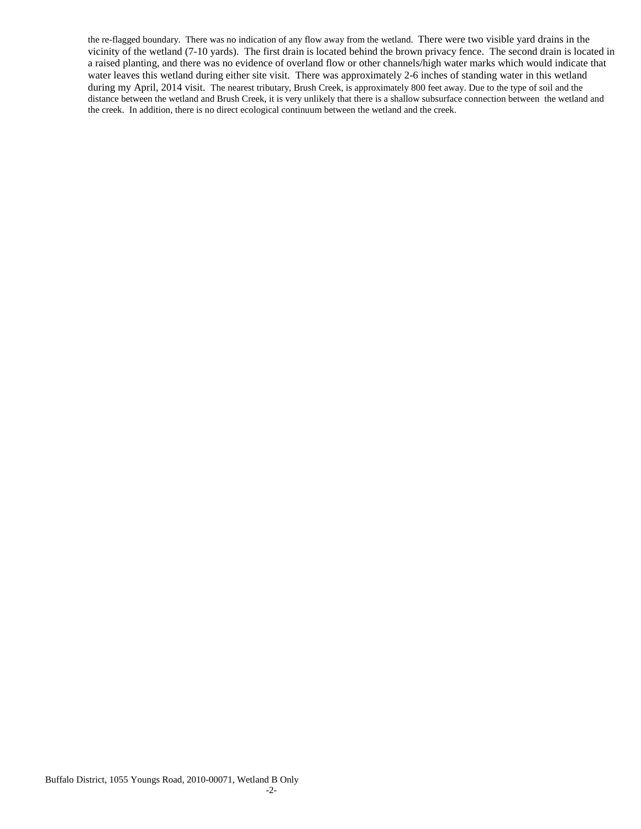the re-flagged boundary. There was no indication of any flow away from the wetland. There were two visible yard drains in the vicinity of the wetland (7-10 yards). The first drain is located behind the brown privacy fence. The second drain is located in a raised planting, and there was no evidence of overland flow or other channels/high water marks which would indicate that water leaves this wetland during either site visit. There was approximately 2-6 inches of standing water in this wetland during my April, 2014 visit. The nearest tributary, Brush Creek, is approximately 800 feet away. Due to the type of soil and the distance between the wetland and Brush Creek, it is very unlikely that there is a shallow subsurface connection between the wetland and the creek. In addition, there is no direct ecological continuum between the wetland and the creek.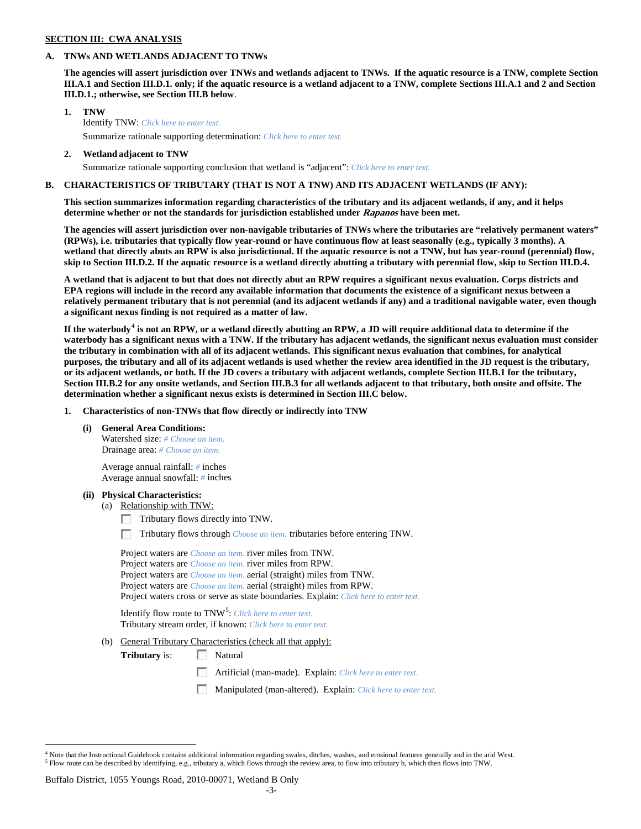## **SECTION III: CWA ANALYSIS**

## **A. TNWs AND WETLANDS ADJACENT TO TNWs**

**The agencies will assert jurisdiction over TNWs and wetlands adjacent to TNWs. If the aquatic resource is a TNW, complete Section III.A.1 and Section III.D.1. only; if the aquatic resource is a wetland adjacent to a TNW, complete Sections III.A.1 and 2 and Section III.D.1.; otherwise, see Section III.B below**.

- **1. TNW**  Identify TNW: *Click here to enter text.* Summarize rationale supporting determination: *Click here to enter text.*
- **2. Wetland adjacent to TNW**
	- Summarize rationale supporting conclusion that wetland is "adjacent": *Click here to enter text.*

## **B. CHARACTERISTICS OF TRIBUTARY (THAT IS NOT A TNW) AND ITS ADJACENT WETLANDS (IF ANY):**

**This section summarizes information regarding characteristics of the tributary and its adjacent wetlands, if any, and it helps determine whether or not the standards for jurisdiction established under Rapanos have been met.** 

**The agencies will assert jurisdiction over non-navigable tributaries of TNWs where the tributaries are "relatively permanent waters" (RPWs), i.e. tributaries that typically flow year-round or have continuous flow at least seasonally (e.g., typically 3 months). A wetland that directly abuts an RPW is also jurisdictional. If the aquatic resource is not a TNW, but has year-round (perennial) flow, skip to Section III.D.2. If the aquatic resource is a wetland directly abutting a tributary with perennial flow, skip to Section III.D.4.**

**A wetland that is adjacent to but that does not directly abut an RPW requires a significant nexus evaluation. Corps districts and EPA regions will include in the record any available information that documents the existence of a significant nexus between a relatively permanent tributary that is not perennial (and its adjacent wetlands if any) and a traditional navigable water, even though a significant nexus finding is not required as a matter of law.**

**If the waterbody[4](#page-2-0) is not an RPW, or a wetland directly abutting an RPW, a JD will require additional data to determine if the waterbody has a significant nexus with a TNW. If the tributary has adjacent wetlands, the significant nexus evaluation must consider the tributary in combination with all of its adjacent wetlands. This significant nexus evaluation that combines, for analytical purposes, the tributary and all of its adjacent wetlands is used whether the review area identified in the JD request is the tributary, or its adjacent wetlands, or both. If the JD covers a tributary with adjacent wetlands, complete Section III.B.1 for the tributary, Section III.B.2 for any onsite wetlands, and Section III.B.3 for all wetlands adjacent to that tributary, both onsite and offsite. The determination whether a significant nexus exists is determined in Section III.C below.**

**1. Characteristics of non-TNWs that flow directly or indirectly into TNW**

**(i) General Area Conditions:**

Watershed size: *# Choose an item.* Drainage area: *# Choose an item.*

Average annual rainfall: *#* inches Average annual snowfall: *#* inches

#### **(ii) Physical Characteristics:**

- (a) Relationship with TNW:
	- Tributary flows directly into TNW.

n Tributary flows through *Choose an item.* tributaries before entering TNW.

Project waters are *Choose an item.* river miles from TNW. Project waters are *Choose an item.* river miles from RPW. Project waters are *Choose an item.* aerial (straight) miles from TNW. Project waters are *Choose an item.* aerial (straight) miles from RPW. Project waters cross or serve as state boundaries. Explain: *Click here to enter text.*

Identify flow route to TNW<sup>[5](#page-2-1)</sup>: *Click here to enter text.* Tributary stream order, if known: *Click here to enter text.*

(b) General Tributary Characteristics (check all that apply):

**Tributary** is: Natural

- $\sim$ Artificial (man-made). Explain: *Click here to enter text.*
- Manipulated (man-altered). Explain: *Click here to enter text.*

#### Buffalo District, 1055 Youngs Road, 2010-00071, Wetland B Only

<span id="page-2-1"></span><span id="page-2-0"></span> $4$  Note that the Instructional Guidebook contains additional information regarding swales, ditches, washes, and erosional features generally and in the arid West.<br> $5$  Flow route can be described by identifying, e.g., tri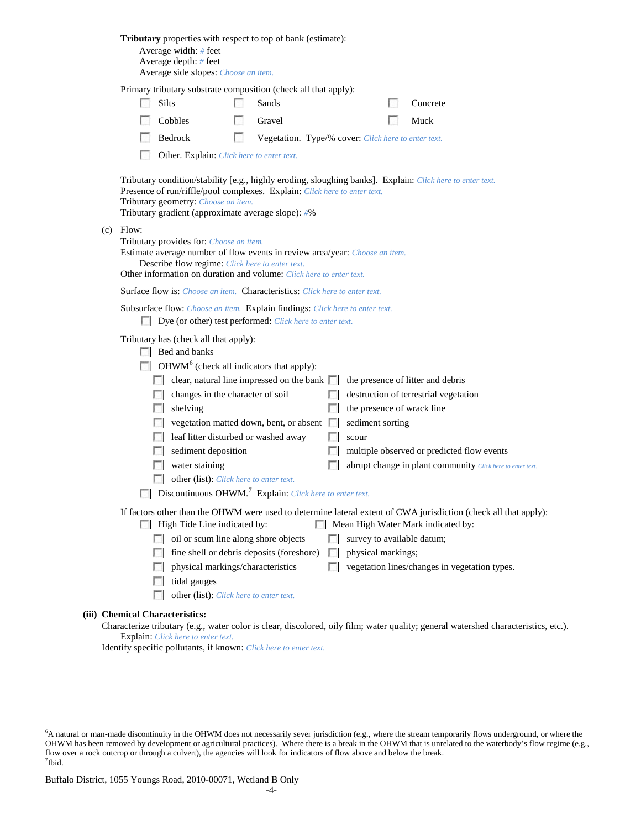| Tributary properties with respect to top of bank (estimate):<br>Average width: $#$ feet<br>Average depth: $#$ feet<br>Average side slopes: Choose an item.                                                                                                                                                                                                                                                                                                                                                                                             |                                                                                                                       |                                                                                                                                          |    |                                                                             |             |                    |  |                                                                                                                                                        |  |  |  |  |  |
|--------------------------------------------------------------------------------------------------------------------------------------------------------------------------------------------------------------------------------------------------------------------------------------------------------------------------------------------------------------------------------------------------------------------------------------------------------------------------------------------------------------------------------------------------------|-----------------------------------------------------------------------------------------------------------------------|------------------------------------------------------------------------------------------------------------------------------------------|----|-----------------------------------------------------------------------------|-------------|--------------------|--|--------------------------------------------------------------------------------------------------------------------------------------------------------|--|--|--|--|--|
|                                                                                                                                                                                                                                                                                                                                                                                                                                                                                                                                                        | Primary tributary substrate composition (check all that apply):                                                       |                                                                                                                                          |    |                                                                             |             |                    |  |                                                                                                                                                        |  |  |  |  |  |
|                                                                                                                                                                                                                                                                                                                                                                                                                                                                                                                                                        |                                                                                                                       | <b>Silts</b>                                                                                                                             |    | Sands                                                                       |             |                    |  | Concrete                                                                                                                                               |  |  |  |  |  |
|                                                                                                                                                                                                                                                                                                                                                                                                                                                                                                                                                        |                                                                                                                       | Cobbles                                                                                                                                  | ы  | Gravel                                                                      |             |                    |  | Muck                                                                                                                                                   |  |  |  |  |  |
|                                                                                                                                                                                                                                                                                                                                                                                                                                                                                                                                                        |                                                                                                                       | Bedrock                                                                                                                                  | L. | Vegetation. Type/% cover: Click here to enter text.                         |             |                    |  |                                                                                                                                                        |  |  |  |  |  |
|                                                                                                                                                                                                                                                                                                                                                                                                                                                                                                                                                        |                                                                                                                       | Other. Explain: Click here to enter text.                                                                                                |    |                                                                             |             |                    |  |                                                                                                                                                        |  |  |  |  |  |
| Tributary condition/stability [e.g., highly eroding, sloughing banks]. Explain: Click here to enter text.<br>Presence of run/riffle/pool complexes. Explain: Click here to enter text.<br>Tributary geometry: Choose an item.<br>Tributary gradient (approximate average slope): #%<br>$(c)$ Flow:<br>Tributary provides for: Choose an item.<br>Estimate average number of flow events in review area/year: Choose an item.<br>Describe flow regime: Click here to enter text.<br>Other information on duration and volume: Click here to enter text. |                                                                                                                       |                                                                                                                                          |    |                                                                             |             |                    |  |                                                                                                                                                        |  |  |  |  |  |
|                                                                                                                                                                                                                                                                                                                                                                                                                                                                                                                                                        |                                                                                                                       |                                                                                                                                          |    |                                                                             |             |                    |  |                                                                                                                                                        |  |  |  |  |  |
|                                                                                                                                                                                                                                                                                                                                                                                                                                                                                                                                                        |                                                                                                                       |                                                                                                                                          |    | Surface flow is: Choose an item. Characteristics: Click here to enter text. |             |                    |  |                                                                                                                                                        |  |  |  |  |  |
|                                                                                                                                                                                                                                                                                                                                                                                                                                                                                                                                                        |                                                                                                                       | Subsurface flow: Choose an item. Explain findings: Click here to enter text.<br>Dye (or other) test performed: Click here to enter text. |    |                                                                             |             |                    |  |                                                                                                                                                        |  |  |  |  |  |
|                                                                                                                                                                                                                                                                                                                                                                                                                                                                                                                                                        | Tributary has (check all that apply):<br>$\Box$ Bed and banks                                                         |                                                                                                                                          |    |                                                                             |             |                    |  |                                                                                                                                                        |  |  |  |  |  |
|                                                                                                                                                                                                                                                                                                                                                                                                                                                                                                                                                        |                                                                                                                       | $\Box$ OHWM <sup>6</sup> (check all indicators that apply):                                                                              |    |                                                                             |             |                    |  |                                                                                                                                                        |  |  |  |  |  |
|                                                                                                                                                                                                                                                                                                                                                                                                                                                                                                                                                        |                                                                                                                       |                                                                                                                                          |    | $\Box$ clear, natural line impressed on the bank $\Box$                     |             |                    |  | the presence of litter and debris                                                                                                                      |  |  |  |  |  |
|                                                                                                                                                                                                                                                                                                                                                                                                                                                                                                                                                        |                                                                                                                       | changes in the character of soil                                                                                                         |    |                                                                             |             |                    |  | destruction of terrestrial vegetation                                                                                                                  |  |  |  |  |  |
|                                                                                                                                                                                                                                                                                                                                                                                                                                                                                                                                                        |                                                                                                                       | shelving                                                                                                                                 |    |                                                                             | L.          |                    |  | the presence of wrack line                                                                                                                             |  |  |  |  |  |
|                                                                                                                                                                                                                                                                                                                                                                                                                                                                                                                                                        |                                                                                                                       |                                                                                                                                          |    | vegetation matted down, bent, or absent                                     |             | sediment sorting   |  |                                                                                                                                                        |  |  |  |  |  |
|                                                                                                                                                                                                                                                                                                                                                                                                                                                                                                                                                        |                                                                                                                       | leaf litter disturbed or washed away                                                                                                     |    |                                                                             |             | scour              |  | multiple observed or predicted flow events                                                                                                             |  |  |  |  |  |
|                                                                                                                                                                                                                                                                                                                                                                                                                                                                                                                                                        | L.                                                                                                                    | sediment deposition<br>water staining                                                                                                    |    |                                                                             |             |                    |  | abrupt change in plant community Click here to enter text.                                                                                             |  |  |  |  |  |
|                                                                                                                                                                                                                                                                                                                                                                                                                                                                                                                                                        |                                                                                                                       |                                                                                                                                          |    |                                                                             |             |                    |  |                                                                                                                                                        |  |  |  |  |  |
|                                                                                                                                                                                                                                                                                                                                                                                                                                                                                                                                                        | other (list): Click here to enter text.<br>$\Box$ Discontinuous OHWM. <sup>7</sup> Explain: Click here to enter text. |                                                                                                                                          |    |                                                                             |             |                    |  |                                                                                                                                                        |  |  |  |  |  |
|                                                                                                                                                                                                                                                                                                                                                                                                                                                                                                                                                        |                                                                                                                       | High Tide Line indicated by:                                                                                                             |    |                                                                             |             |                    |  | If factors other than the OHWM were used to determine lateral extent of CWA jurisdiction (check all that apply):<br>Mean High Water Mark indicated by: |  |  |  |  |  |
|                                                                                                                                                                                                                                                                                                                                                                                                                                                                                                                                                        | $\sim$                                                                                                                | oil or scum line along shore objects                                                                                                     |    |                                                                             |             |                    |  | survey to available datum;                                                                                                                             |  |  |  |  |  |
|                                                                                                                                                                                                                                                                                                                                                                                                                                                                                                                                                        | FЛ                                                                                                                    |                                                                                                                                          |    | fine shell or debris deposits (foreshore)                                   | <b>I</b> in | physical markings; |  |                                                                                                                                                        |  |  |  |  |  |
|                                                                                                                                                                                                                                                                                                                                                                                                                                                                                                                                                        | $\mathbb{R}^n$                                                                                                        | physical markings/characteristics                                                                                                        |    |                                                                             | $\Box$      |                    |  | vegetation lines/changes in vegetation types.                                                                                                          |  |  |  |  |  |
|                                                                                                                                                                                                                                                                                                                                                                                                                                                                                                                                                        |                                                                                                                       | tidal gauges                                                                                                                             |    |                                                                             |             |                    |  |                                                                                                                                                        |  |  |  |  |  |
|                                                                                                                                                                                                                                                                                                                                                                                                                                                                                                                                                        | L.                                                                                                                    | other (list): Click here to enter text.                                                                                                  |    |                                                                             |             |                    |  |                                                                                                                                                        |  |  |  |  |  |
|                                                                                                                                                                                                                                                                                                                                                                                                                                                                                                                                                        | <b>Chemical Characteristics:</b>                                                                                      |                                                                                                                                          |    |                                                                             |             |                    |  | Characterize tributary (e.g., water color is clear, discolored, oily film; water quality; general watershed characteristics, etc.).                    |  |  |  |  |  |

Explain: *Click here to enter text.*

**(iii)** 

Identify specific pollutants, if known: *Click here to enter text.*

<span id="page-3-1"></span><span id="page-3-0"></span> <sup>6</sup> <sup>6</sup>A natural or man-made discontinuity in the OHWM does not necessarily sever jurisdiction (e.g., where the stream temporarily flows underground, or where the OHWM has been removed by development or agricultural practices). Where there is a break in the OHWM that is unrelated to the waterbody's flow regime (e.g., flow over a rock outcrop or through a culvert), the agencies will look for indicators of flow above and below the break. 7 Ibid.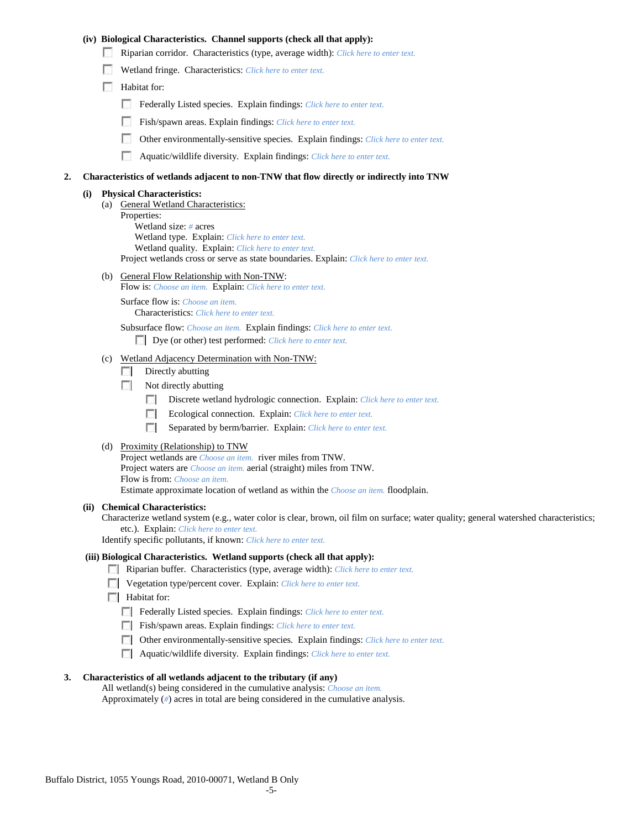## **(iv) Biological Characteristics. Channel supports (check all that apply):**

- Riparian corridor. Characteristics (type, average width): *Click here to enter text.*
- Wetland fringe. Characteristics: *Click here to enter text.*
- Habitat for:
	- Federally Listed species. Explain findings: *Click here to enter text.*
	- Fish/spawn areas. Explain findings: *Click here to enter text.*
	- Other environmentally-sensitive species. Explain findings: *Click here to enter text.* m.
	- n Aquatic/wildlife diversity. Explain findings: *Click here to enter text.*

#### **2. Characteristics of wetlands adjacent to non-TNW that flow directly or indirectly into TNW**

## **(i) Physical Characteristics:**

- (a) General Wetland Characteristics:
	- Properties:

Wetland size: *#* acres Wetland type. Explain: *Click here to enter text.*

Wetland quality. Explain: *Click here to enter text.*

Project wetlands cross or serve as state boundaries. Explain: *Click here to enter text.*

(b) General Flow Relationship with Non-TNW: Flow is: *Choose an item.* Explain: *Click here to enter text.*

Surface flow is: *Choose an item.* Characteristics: *Click here to enter text.*

Subsurface flow: *Choose an item.* Explain findings: *Click here to enter text.*

Dye (or other) test performed: *Click here to enter text.*

## (c) Wetland Adjacency Determination with Non-TNW:

- $\Box$  Directly abutting
- Not directly abutting
	- **COLLEGE** Discrete wetland hydrologic connection. Explain: *Click here to enter text.*
	- Ecological connection. Explain: *Click here to enter text.* E.
	- $\mathcal{L}$ Separated by berm/barrier. Explain: *Click here to enter text.*
- (d) Proximity (Relationship) to TNW

Project wetlands are *Choose an item.* river miles from TNW. Project waters are *Choose an item.* aerial (straight) miles from TNW. Flow is from: *Choose an item.* Estimate approximate location of wetland as within the *Choose an item.* floodplain.

#### **(ii) Chemical Characteristics:**

Characterize wetland system (e.g., water color is clear, brown, oil film on surface; water quality; general watershed characteristics; etc.). Explain: *Click here to enter text.*

Identify specific pollutants, if known: *Click here to enter text.*

## **(iii) Biological Characteristics. Wetland supports (check all that apply):**

- Riparian buffer. Characteristics (type, average width): *Click here to enter text.*
- Vegetation type/percent cover. Explain: *Click here to enter text.*
- **Habitat for:** 
	- Federally Listed species. Explain findings: *Click here to enter text*.
	- Fish/spawn areas. Explain findings: *Click here to enter text.*
	- Other environmentally-sensitive species. Explain findings: *Click here to enter text.*
	- Aquatic/wildlife diversity. Explain findings: *Click here to enter text.*

#### **3. Characteristics of all wetlands adjacent to the tributary (if any)**

All wetland(s) being considered in the cumulative analysis: *Choose an item.* Approximately (*#*) acres in total are being considered in the cumulative analysis.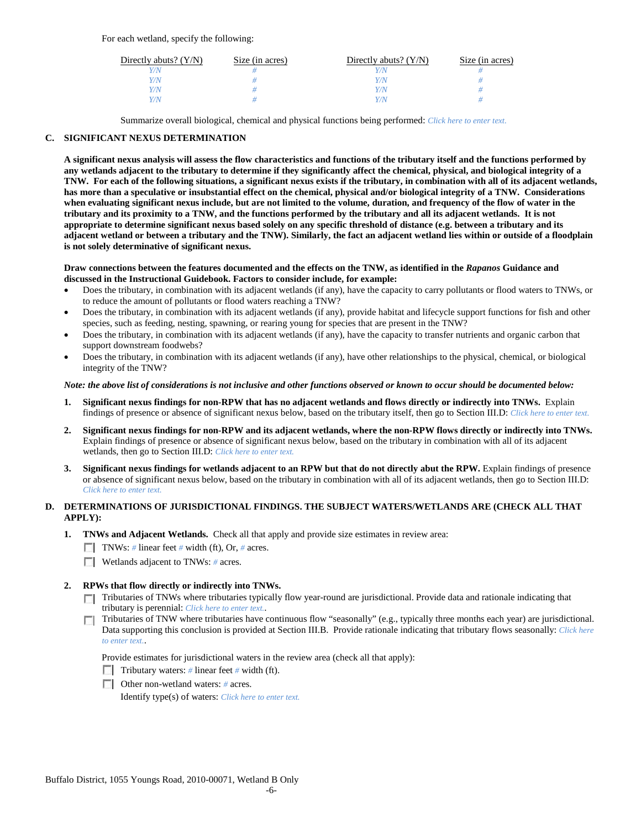For each wetland, specify the following:

| Directly abuts? $(Y/N)$ | Size (in acres) | Directly abuts? $(Y/N)$ | Size (in acres) |
|-------------------------|-----------------|-------------------------|-----------------|
|                         |                 | Y/N                     |                 |
| V/N                     |                 | Y/N                     |                 |
| V/N                     |                 | Y/N                     |                 |
|                         |                 | Y/N                     |                 |

Summarize overall biological, chemical and physical functions being performed: *Click here to enter text.*

# **C. SIGNIFICANT NEXUS DETERMINATION**

**A significant nexus analysis will assess the flow characteristics and functions of the tributary itself and the functions performed by any wetlands adjacent to the tributary to determine if they significantly affect the chemical, physical, and biological integrity of a TNW. For each of the following situations, a significant nexus exists if the tributary, in combination with all of its adjacent wetlands, has more than a speculative or insubstantial effect on the chemical, physical and/or biological integrity of a TNW. Considerations when evaluating significant nexus include, but are not limited to the volume, duration, and frequency of the flow of water in the tributary and its proximity to a TNW, and the functions performed by the tributary and all its adjacent wetlands. It is not appropriate to determine significant nexus based solely on any specific threshold of distance (e.g. between a tributary and its adjacent wetland or between a tributary and the TNW). Similarly, the fact an adjacent wetland lies within or outside of a floodplain is not solely determinative of significant nexus.** 

## **Draw connections between the features documented and the effects on the TNW, as identified in the** *Rapanos* **Guidance and discussed in the Instructional Guidebook. Factors to consider include, for example:**

- Does the tributary, in combination with its adjacent wetlands (if any), have the capacity to carry pollutants or flood waters to TNWs, or to reduce the amount of pollutants or flood waters reaching a TNW?
- Does the tributary, in combination with its adjacent wetlands (if any), provide habitat and lifecycle support functions for fish and other species, such as feeding, nesting, spawning, or rearing young for species that are present in the TNW?
- Does the tributary, in combination with its adjacent wetlands (if any), have the capacity to transfer nutrients and organic carbon that support downstream foodwebs?
- Does the tributary, in combination with its adjacent wetlands (if any), have other relationships to the physical, chemical, or biological integrity of the TNW?

## *Note: the above list of considerations is not inclusive and other functions observed or known to occur should be documented below:*

- **1. Significant nexus findings for non-RPW that has no adjacent wetlands and flows directly or indirectly into TNWs.** Explain findings of presence or absence of significant nexus below, based on the tributary itself, then go to Section III.D: *Click here to enter text.*
- **2. Significant nexus findings for non-RPW and its adjacent wetlands, where the non-RPW flows directly or indirectly into TNWs.**  Explain findings of presence or absence of significant nexus below, based on the tributary in combination with all of its adjacent wetlands, then go to Section III.D: *Click here to enter text.*
- **3. Significant nexus findings for wetlands adjacent to an RPW but that do not directly abut the RPW.** Explain findings of presence or absence of significant nexus below, based on the tributary in combination with all of its adjacent wetlands, then go to Section III.D: *Click here to enter text.*

# **D. DETERMINATIONS OF JURISDICTIONAL FINDINGS. THE SUBJECT WATERS/WETLANDS ARE (CHECK ALL THAT APPLY):**

- **1. TNWs and Adjacent Wetlands.** Check all that apply and provide size estimates in review area:
	- TNWs: *#* linear feet *#* width (ft), Or, *#* acres.
	- **Wetlands adjacent to TNWs:** # acres.

# **2. RPWs that flow directly or indirectly into TNWs.**

- Tributaries of TNWs where tributaries typically flow year-round are jurisdictional. Provide data and rationale indicating that tributary is perennial: *Click here to enter text.*.
- Tributaries of TNW where tributaries have continuous flow "seasonally" (e.g., typically three months each year) are jurisdictional.  $\mathcal{L}$ Data supporting this conclusion is provided at Section III.B. Provide rationale indicating that tributary flows seasonally: *Click here to enter text.*.

Provide estimates for jurisdictional waters in the review area (check all that apply):

- Tributary waters: # linear feet # width (ft).
- Other non-wetland waters: *#* acres.

Identify type(s) of waters: *Click here to enter text.*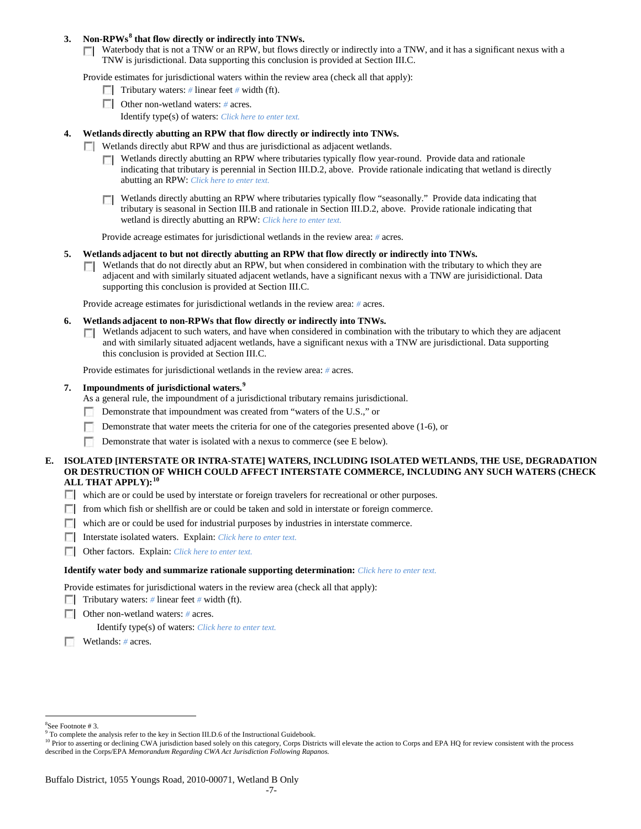## **3. Non-RPWs[8](#page-6-0) that flow directly or indirectly into TNWs.**

Waterbody that is not a TNW or an RPW, but flows directly or indirectly into a TNW, and it has a significant nexus with a TNW is jurisdictional. Data supporting this conclusion is provided at Section III.C.

Provide estimates for jurisdictional waters within the review area (check all that apply):

- **Tributary waters:** # linear feet # width (ft).
- Other non-wetland waters: # acres. Identify type(s) of waters: *Click here to enter text.*
- **4. Wetlands directly abutting an RPW that flow directly or indirectly into TNWs.**
	- **Wetlands directly abut RPW and thus are jurisdictional as adjacent wetlands.** 
		- $\Box$  Wetlands directly abutting an RPW where tributaries typically flow year-round. Provide data and rationale indicating that tributary is perennial in Section III.D.2, above. Provide rationale indicating that wetland is directly abutting an RPW: *Click here to enter text.*
		- Wetlands directly abutting an RPW where tributaries typically flow "seasonally." Provide data indicating that tributary is seasonal in Section III.B and rationale in Section III.D.2, above. Provide rationale indicating that wetland is directly abutting an RPW: *Click here to enter text.*

Provide acreage estimates for jurisdictional wetlands in the review area: *#* acres.

- **5. Wetlands adjacent to but not directly abutting an RPW that flow directly or indirectly into TNWs.**
	- $\Box$  Wetlands that do not directly abut an RPW, but when considered in combination with the tributary to which they are adjacent and with similarly situated adjacent wetlands, have a significant nexus with a TNW are jurisidictional. Data supporting this conclusion is provided at Section III.C.

Provide acreage estimates for jurisdictional wetlands in the review area: *#* acres.

- **6. Wetlands adjacent to non-RPWs that flow directly or indirectly into TNWs.** 
	- Wetlands adjacent to such waters, and have when considered in combination with the tributary to which they are adjacent  $\sim$ and with similarly situated adjacent wetlands, have a significant nexus with a TNW are jurisdictional. Data supporting this conclusion is provided at Section III.C.

Provide estimates for jurisdictional wetlands in the review area: *#* acres.

**7. Impoundments of jurisdictional waters. [9](#page-6-1)**

As a general rule, the impoundment of a jurisdictional tributary remains jurisdictional.

- Demonstrate that impoundment was created from "waters of the U.S.," or
- Demonstrate that water meets the criteria for one of the categories presented above (1-6), or
- n Demonstrate that water is isolated with a nexus to commerce (see E below).
- **E. ISOLATED [INTERSTATE OR INTRA-STATE] WATERS, INCLUDING ISOLATED WETLANDS, THE USE, DEGRADATION OR DESTRUCTION OF WHICH COULD AFFECT INTERSTATE COMMERCE, INCLUDING ANY SUCH WATERS (CHECK ALL THAT APPLY):[10](#page-6-2)**
	- which are or could be used by interstate or foreign travelers for recreational or other purposes.
	- from which fish or shellfish are or could be taken and sold in interstate or foreign commerce.
	- which are or could be used for industrial purposes by industries in interstate commerce.
	- Interstate isolated waters.Explain: *Click here to enter text.*
	- Other factors.Explain: *Click here to enter text.*

#### **Identify water body and summarize rationale supporting determination:** *Click here to enter text.*

Provide estimates for jurisdictional waters in the review area (check all that apply):

- Tributary waters: # linear feet # width (ft).
- Other non-wetland waters: *#* acres.

Identify type(s) of waters: *Click here to enter text.*

Wetlands: *#* acres.

 $\frac{1}{8}$ See Footnote # 3.

<span id="page-6-1"></span><span id="page-6-0"></span><sup>&</sup>lt;sup>9</sup> To complete the analysis refer to the key in Section III.D.6 of the Instructional Guidebook.

<span id="page-6-2"></span><sup>&</sup>lt;sup>10</sup> Prior to asserting or declining CWA jurisdiction based solely on this category, Corps Districts will elevate the action to Corps and EPA HQ for review consistent with the process described in the Corps/EPA *Memorandum Regarding CWA Act Jurisdiction Following Rapanos.*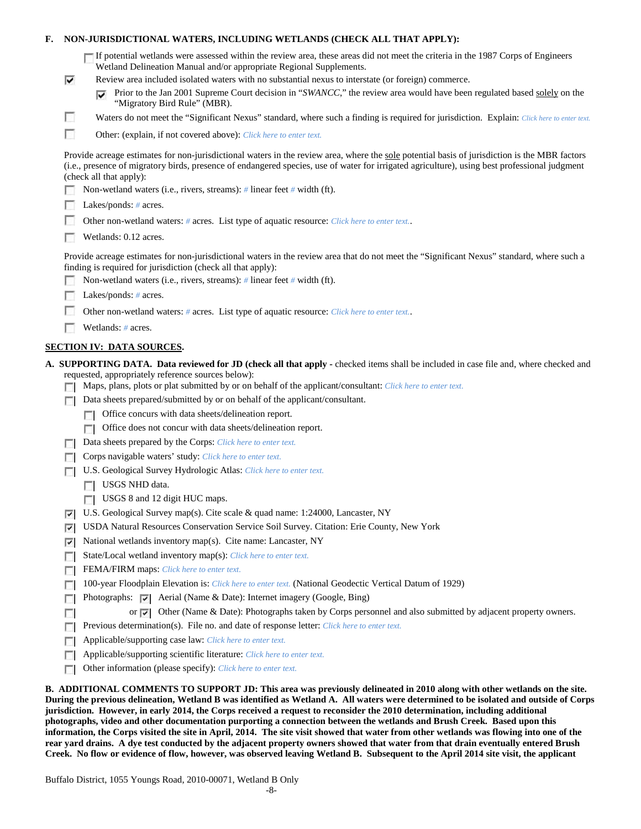| F. |                                                                                                                                                                                                                                                                                                                                                                                                      | NON-JURISDICTIONAL WATERS, INCLUDING WETLANDS (CHECK ALL THAT APPLY):                                                                                                                                                                                              |  |  |  |  |  |
|----|------------------------------------------------------------------------------------------------------------------------------------------------------------------------------------------------------------------------------------------------------------------------------------------------------------------------------------------------------------------------------------------------------|--------------------------------------------------------------------------------------------------------------------------------------------------------------------------------------------------------------------------------------------------------------------|--|--|--|--|--|
|    |                                                                                                                                                                                                                                                                                                                                                                                                      | If potential wetlands were assessed within the review area, these areas did not meet the criteria in the 1987 Corps of Engineers<br>Wetland Delineation Manual and/or appropriate Regional Supplements.                                                            |  |  |  |  |  |
|    | ⊽                                                                                                                                                                                                                                                                                                                                                                                                    | Review area included isolated waters with no substantial nexus to interstate (or foreign) commerce.                                                                                                                                                                |  |  |  |  |  |
|    |                                                                                                                                                                                                                                                                                                                                                                                                      | Prior to the Jan 2001 Supreme Court decision in "SWANCC," the review area would have been regulated based solely on the<br>⊽<br>"Migratory Bird Rule" (MBR).                                                                                                       |  |  |  |  |  |
|    | n                                                                                                                                                                                                                                                                                                                                                                                                    | Waters do not meet the "Significant Nexus" standard, where such a finding is required for jurisdiction. Explain: Click here to enter text.                                                                                                                         |  |  |  |  |  |
|    | г                                                                                                                                                                                                                                                                                                                                                                                                    | Other: (explain, if not covered above): Click here to enter text.                                                                                                                                                                                                  |  |  |  |  |  |
|    | Provide acreage estimates for non-jurisdictional waters in the review area, where the sole potential basis of jurisdiction is the MBR factors<br>(i.e., presence of migratory birds, presence of endangered species, use of water for irrigated agriculture), using best professional judgment<br>(check all that apply):<br>Non-wetland waters (i.e., rivers, streams): # linear feet # width (ft). |                                                                                                                                                                                                                                                                    |  |  |  |  |  |
|    |                                                                                                                                                                                                                                                                                                                                                                                                      |                                                                                                                                                                                                                                                                    |  |  |  |  |  |
|    | Lakes/ponds: $# \, \text{acres.}$                                                                                                                                                                                                                                                                                                                                                                    |                                                                                                                                                                                                                                                                    |  |  |  |  |  |
|    | Other non-wetland waters: # acres. List type of aquatic resource: Click here to enter text                                                                                                                                                                                                                                                                                                           |                                                                                                                                                                                                                                                                    |  |  |  |  |  |
|    | Wetlands: 0.12 acres.                                                                                                                                                                                                                                                                                                                                                                                |                                                                                                                                                                                                                                                                    |  |  |  |  |  |
|    | Provide acreage estimates for non-jurisdictional waters in the review area that do not meet the "Significant Nexus" standard, where such a<br>finding is required for jurisdiction (check all that apply):                                                                                                                                                                                           |                                                                                                                                                                                                                                                                    |  |  |  |  |  |
|    |                                                                                                                                                                                                                                                                                                                                                                                                      | Non-wetland waters (i.e., rivers, streams): $\#$ linear feet $\#$ width (ft).                                                                                                                                                                                      |  |  |  |  |  |
|    |                                                                                                                                                                                                                                                                                                                                                                                                      | Lakes/ponds: $# \, \text{acres.}$                                                                                                                                                                                                                                  |  |  |  |  |  |
|    |                                                                                                                                                                                                                                                                                                                                                                                                      | Other non-wetland waters: # acres. List type of aquatic resource: Click here to enter text                                                                                                                                                                         |  |  |  |  |  |
|    |                                                                                                                                                                                                                                                                                                                                                                                                      | Wetlands: # acres.                                                                                                                                                                                                                                                 |  |  |  |  |  |
|    |                                                                                                                                                                                                                                                                                                                                                                                                      | <b>SECTION IV: DATA SOURCES.</b>                                                                                                                                                                                                                                   |  |  |  |  |  |
|    |                                                                                                                                                                                                                                                                                                                                                                                                      | A. SUPPORTING DATA. Data reviewed for JD (check all that apply - checked items shall be included in case file and, where checked and                                                                                                                               |  |  |  |  |  |
|    |                                                                                                                                                                                                                                                                                                                                                                                                      | requested, appropriately reference sources below):<br>Maps, plans, plots or plat submitted by or on behalf of the applicant/consultant: Click here to enter text.                                                                                                  |  |  |  |  |  |
|    | п                                                                                                                                                                                                                                                                                                                                                                                                    | Data sheets prepared/submitted by or on behalf of the applicant/consultant.                                                                                                                                                                                        |  |  |  |  |  |
|    |                                                                                                                                                                                                                                                                                                                                                                                                      | Office concurs with data sheets/delineation report.                                                                                                                                                                                                                |  |  |  |  |  |
|    |                                                                                                                                                                                                                                                                                                                                                                                                      | Office does not concur with data sheets/delineation report.                                                                                                                                                                                                        |  |  |  |  |  |
|    |                                                                                                                                                                                                                                                                                                                                                                                                      | Data sheets prepared by the Corps: Click here to enter text.                                                                                                                                                                                                       |  |  |  |  |  |
|    |                                                                                                                                                                                                                                                                                                                                                                                                      | Corps navigable waters' study: Click here to enter text.                                                                                                                                                                                                           |  |  |  |  |  |
|    | U.S. Geological Survey Hydrologic Atlas: Click here to enter text.                                                                                                                                                                                                                                                                                                                                   |                                                                                                                                                                                                                                                                    |  |  |  |  |  |
|    |                                                                                                                                                                                                                                                                                                                                                                                                      | USGS NHD data.                                                                                                                                                                                                                                                     |  |  |  |  |  |
|    |                                                                                                                                                                                                                                                                                                                                                                                                      | USGS 8 and 12 digit HUC maps.                                                                                                                                                                                                                                      |  |  |  |  |  |
|    | V.                                                                                                                                                                                                                                                                                                                                                                                                   | U.S. Geological Survey map(s). Cite scale & quad name: 1:24000, Lancaster, NY                                                                                                                                                                                      |  |  |  |  |  |
|    | ⊽                                                                                                                                                                                                                                                                                                                                                                                                    | USDA Natural Resources Conservation Service Soil Survey. Citation: Erie County, New York                                                                                                                                                                           |  |  |  |  |  |
|    | ⊽                                                                                                                                                                                                                                                                                                                                                                                                    | National wetlands inventory map(s). Cite name: Lancaster, NY                                                                                                                                                                                                       |  |  |  |  |  |
|    | г                                                                                                                                                                                                                                                                                                                                                                                                    | State/Local wetland inventory map(s): Click here to enter text.                                                                                                                                                                                                    |  |  |  |  |  |
|    | п                                                                                                                                                                                                                                                                                                                                                                                                    | FEMA/FIRM maps: Click here to enter text.                                                                                                                                                                                                                          |  |  |  |  |  |
|    | п                                                                                                                                                                                                                                                                                                                                                                                                    | 100-year Floodplain Elevation is: Click here to enter text. (National Geodectic Vertical Datum of 1929)                                                                                                                                                            |  |  |  |  |  |
|    |                                                                                                                                                                                                                                                                                                                                                                                                      | Photographs: $\vert \vec{v} \vert$ Aerial (Name & Date): Internet imagery (Google, Bing)                                                                                                                                                                           |  |  |  |  |  |
|    | п                                                                                                                                                                                                                                                                                                                                                                                                    | Other (Name & Date): Photographs taken by Corps personnel and also submitted by adjacent property owners.<br>or $\overline{\mathbf{v}}$                                                                                                                            |  |  |  |  |  |
|    | г                                                                                                                                                                                                                                                                                                                                                                                                    | Previous determination(s). File no. and date of response letter: Click here to enter text.                                                                                                                                                                         |  |  |  |  |  |
|    | п                                                                                                                                                                                                                                                                                                                                                                                                    | Applicable/supporting case law: Click here to enter text.                                                                                                                                                                                                          |  |  |  |  |  |
|    | п                                                                                                                                                                                                                                                                                                                                                                                                    | Applicable/supporting scientific literature: Click here to enter text.                                                                                                                                                                                             |  |  |  |  |  |
|    | г                                                                                                                                                                                                                                                                                                                                                                                                    | Other information (please specify): Click here to enter text.                                                                                                                                                                                                      |  |  |  |  |  |
|    |                                                                                                                                                                                                                                                                                                                                                                                                      | B. ADDITIONAL COMMENTS TO SUPPORT JD: This area was previously delineated in 2010 along with other wetlands on the site.<br>During the previous delineation. Wetland B was identified as Wetland A. All waters were determined to be isolated and outside of Corps |  |  |  |  |  |

**During the previous delineation, Wetland B was identified as Wetland A. All waters were determined to be isolated and outside of Corps jurisdiction. However, in early 2014, the Corps received a request to reconsider the 2010 determination, including additional photographs, video and other documentation purporting a connection between the wetlands and Brush Creek. Based upon this information, the Corps visited the site in April, 2014. The site visit showed that water from other wetlands was flowing into one of the rear yard drains. A dye test conducted by the adjacent property owners showed that water from that drain eventually entered Brush Creek. No flow or evidence of flow, however, was observed leaving Wetland B. Subsequent to the April 2014 site visit, the applicant**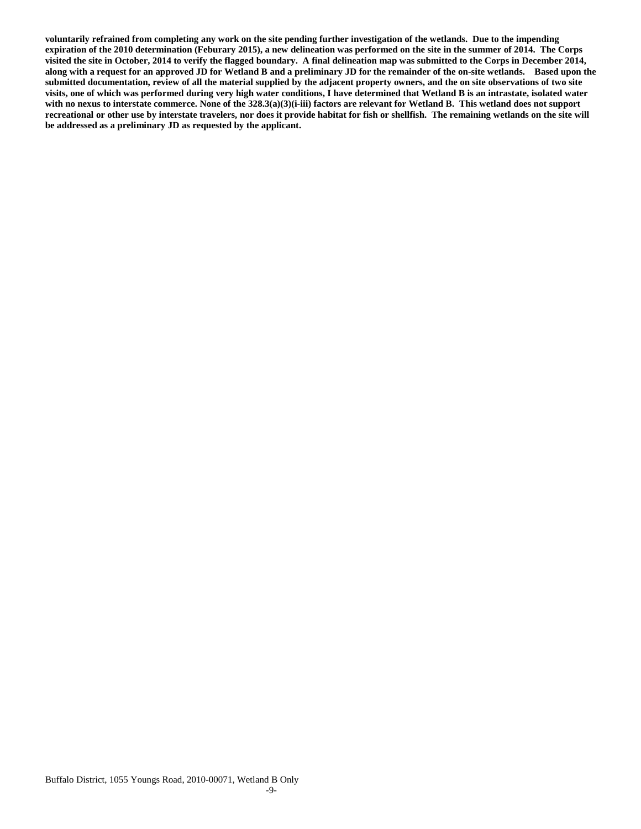**voluntarily refrained from completing any work on the site pending further investigation of the wetlands. Due to the impending expiration of the 2010 determination (Feburary 2015), a new delineation was performed on the site in the summer of 2014. The Corps visited the site in October, 2014 to verify the flagged boundary. A final delineation map was submitted to the Corps in December 2014, along with a request for an approved JD for Wetland B and a preliminary JD for the remainder of the on-site wetlands. Based upon the submitted documentation, review of all the material supplied by the adjacent property owners, and the on site observations of two site visits, one of which was performed during very high water conditions, I have determined that Wetland B is an intrastate, isolated water with no nexus to interstate commerce. None of the 328.3(a)(3)(i-iii) factors are relevant for Wetland B. This wetland does not support recreational or other use by interstate travelers, nor does it provide habitat for fish or shellfish. The remaining wetlands on the site will be addressed as a preliminary JD as requested by the applicant.**